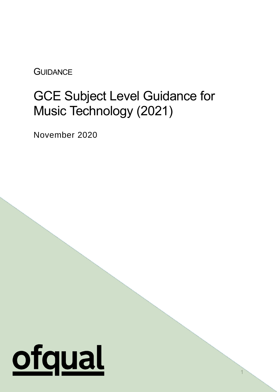**GUIDANCE** 

# GCE Subject Level Guidance for Music Technology (2021)

November 2020

# ofqual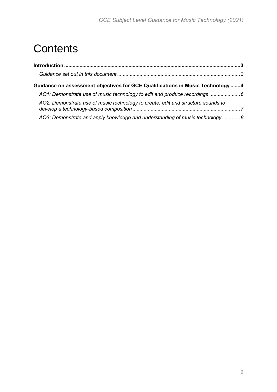## **Contents**

| Guidance on assessment objectives for GCE Qualifications in Music Technology 4   |  |
|----------------------------------------------------------------------------------|--|
|                                                                                  |  |
| AO2: Demonstrate use of music technology to create, edit and structure sounds to |  |
| AO3: Demonstrate and apply knowledge and understanding of music technology 8     |  |
|                                                                                  |  |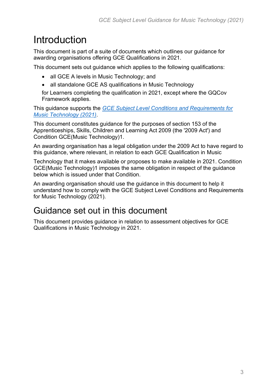## <span id="page-2-0"></span>Introduction

This document is part of a suite of documents which outlines our guidance for awarding organisations offering GCE Qualifications in 2021.

This document sets out guidance which applies to the following qualifications:

- all GCE A levels in Music Technology; and
- all standalone GCE AS qualifications in Music Technology

for Learners completing the qualification in 2021, except where the GQCov Framework applies.

This guidance supports the *[GCE Subject Level Conditions and Requirements for](https://www.gov.uk/government/publications/gce-subject-level-conditions-for-2021) [Music Technology \(2021\)](https://www.gov.uk/government/publications/gce-subject-level-conditions-for-2021)*.

This document constitutes guidance for the purposes of section 153 of the Apprenticeships, Skills, Children and Learning Act 2009 (the '2009 Act') and Condition GCE(Music Technology)1.

An awarding organisation has a legal obligation under the 2009 Act to have regard to this guidance, where relevant, in relation to each GCE Qualification in Music

Technology that it makes available or proposes to make available in 2021. Condition GCE(Music Technology)1 imposes the same obligation in respect of the guidance below which is issued under that Condition.

An awarding organisation should use the guidance in this document to help it understand how to comply with the GCE Subject Level Conditions and Requirements for Music Technology (2021).

#### <span id="page-2-1"></span>Guidance set out in this document

This document provides guidance in relation to assessment objectives for GCE Qualifications in Music Technology in 2021.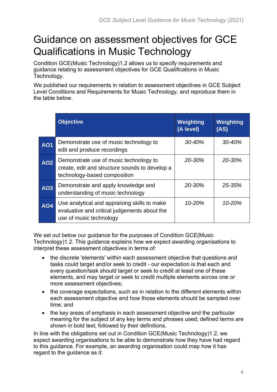### <span id="page-3-0"></span>Guidance on assessment objectives for GCE Qualifications in Music Technology

Condition GCE(Music Technology)1.2 allows us to specify requirements and guidance relating to assessment objectives for GCE Qualifications in Music Technology.

We published our requirements in relation to assessment objectives in GCE Subject Level Conditions and Requirements for Music Technology, and reproduce them in the table below.

|            | <b>Objective</b>                                                                                                         | Weighting<br>(A level) | Weighting<br>(AS) |
|------------|--------------------------------------------------------------------------------------------------------------------------|------------------------|-------------------|
| <b>AO1</b> | Demonstrate use of music technology to<br>edit and produce recordings                                                    | 30-40%                 | 30-40%            |
| <b>AO2</b> | Demonstrate use of music technology to<br>create, edit and structure sounds to develop a<br>technology-based composition | 20-30%                 | 20-30%            |
| <b>AO3</b> | Demonstrate and apply knowledge and<br>understanding of music technology                                                 | 20-30%                 | 25-35%            |
| <b>AO4</b> | Use analytical and appraising skills to make<br>evaluative and critical judgements about the<br>use of music technology  | 10-20%                 | 10-20%            |

We set out below our guidance for the purposes of Condition GCE(Music Technology)1.2. This guidance explains how we expect awarding organisations to interpret these assessment objectives in terms of:

- the discrete 'elements' within each assessment objective that questions and tasks could target and/or seek to credit - our expectation is that each and every question/task should target or seek to credit at least one of these elements, and may target or seek to credit multiple elements across one or more assessment objectives;
- the coverage expectations, such as in relation to the different elements within each assessment objective and how those elements should be sampled over time; and
- the key areas of emphasis in each assessment objective and the particular meaning for the subject of any key terms and phrases used; defined terms are shown in bold text, followed by their definitions.

In line with the obligations set out in Condition GCE(Music Technology)1.2, we expect awarding organisations to be able to demonstrate how they have had regard to this guidance. For example, an awarding organisation could map how it has regard to the guidance as it: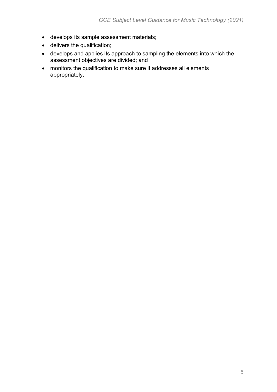- develops its sample assessment materials;
- delivers the qualification;
- develops and applies its approach to sampling the elements into which the assessment objectives are divided; and
- monitors the qualification to make sure it addresses all elements appropriately.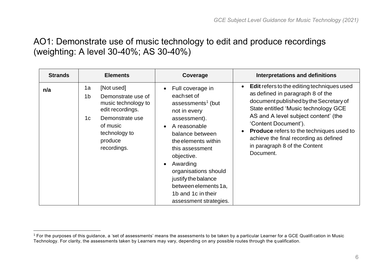#### AO1: Demonstrate use of music technology to edit and produce recordings (weighting: A level 30-40%; AS 30-40%)

<span id="page-5-0"></span>

| <b>Strands</b> | <b>Elements</b>                                                                                                                                                                                 | Coverage                                                                                                                                                                                                                                                                                                                                                             | <b>Interpretations and definitions</b>                                                                                                                                                                                                                                                                                                                                                                       |
|----------------|-------------------------------------------------------------------------------------------------------------------------------------------------------------------------------------------------|----------------------------------------------------------------------------------------------------------------------------------------------------------------------------------------------------------------------------------------------------------------------------------------------------------------------------------------------------------------------|--------------------------------------------------------------------------------------------------------------------------------------------------------------------------------------------------------------------------------------------------------------------------------------------------------------------------------------------------------------------------------------------------------------|
| n/a            | 1a<br>[Not used]<br>1 <sub>b</sub><br>Demonstrate use of<br>music technology to<br>edit recordings.<br>1 <sub>c</sub><br>Demonstrate use<br>of music<br>technology to<br>produce<br>recordings. | Full coverage in<br>$\bullet$<br>eachset of<br>assessments <sup>1</sup> (but<br>not in every<br>assessment).<br>A reasonable<br>$\bullet$<br>balance between<br>the elements within<br>this assessment<br>objective.<br>Awarding<br>$\bullet$<br>organisations should<br>justify the balance<br>between elements 1a,<br>1b and 1c in their<br>assessment strategies. | <b>Edit</b> refers to the editing techniques used<br>$\bullet$<br>as defined in paragraph 8 of the<br>document published by the Secretary of<br>State entitled 'Music technology GCE<br>AS and A level subject content' (the<br>'Content Document').<br><b>Produce</b> refers to the techniques used to<br>$\bullet$<br>achieve the final recording as defined<br>in paragraph 8 of the Content<br>Document. |

 $1$  For the purposes of this guidance, a 'set of assessments' means the assessments to be taken by a particular Learner for a GCE Qualifi cation in Music Technology. For clarity, the assessments taken by Learners may vary, depending on any possible routes through the q ualification.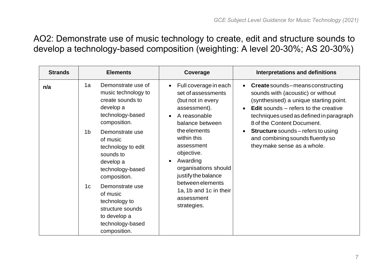AO2: Demonstrate use of music technology to create, edit and structure sounds to develop a technology-based composition (weighting: A level 20-30%; AS 20-30%)

<span id="page-6-0"></span>

| <b>Strands</b> | <b>Elements</b>                                                                                                                                                                                                                                                                                                                                                                                     | Coverage                                                                                                                                                                                                                                                                                                                                                    | <b>Interpretations and definitions</b>                                                                                                                                                                                                                                                                                                                        |
|----------------|-----------------------------------------------------------------------------------------------------------------------------------------------------------------------------------------------------------------------------------------------------------------------------------------------------------------------------------------------------------------------------------------------------|-------------------------------------------------------------------------------------------------------------------------------------------------------------------------------------------------------------------------------------------------------------------------------------------------------------------------------------------------------------|---------------------------------------------------------------------------------------------------------------------------------------------------------------------------------------------------------------------------------------------------------------------------------------------------------------------------------------------------------------|
| n/a            | Demonstrate use of<br>1a<br>music technology to<br>create sounds to<br>develop a<br>technology-based<br>composition.<br>1 <sub>b</sub><br>Demonstrate use<br>of music<br>technology to edit<br>sounds to<br>develop a<br>technology-based<br>composition.<br>1 <sub>c</sub><br>Demonstrate use<br>of music<br>technology to<br>structure sounds<br>to develop a<br>technology-based<br>composition. | Full coverage in each<br>$\bullet$<br>set of assessments<br>(but not in every<br>assessment).<br>A reasonable<br>$\bullet$<br>balance between<br>the elements<br>within this<br>assessment<br>objective.<br>Awarding<br>$\bullet$<br>organisations should<br>justify the balance<br>between elements<br>1a, 1b and 1c in their<br>assessment<br>strategies. | • Create sounds – means constructing<br>sounds with (acoustic) or without<br>(synthesised) a unique starting point.<br><b>Edit</b> sounds $-$ refers to the creative<br>techniques used as defined in paragraph<br>8 of the Content Document.<br><b>Structure</b> sounds – refers to using<br>and combining sounds fluently so<br>they make sense as a whole. |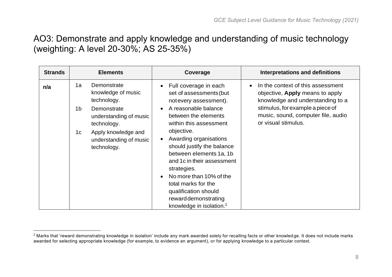#### AO3: Demonstrate and apply knowledge and understanding of music technology (weighting: A level 20-30%; AS 25-35%)

<span id="page-7-0"></span>

| <b>Strands</b> | <b>Elements</b> |                                                              |                                                                                                                                                                                                                                                                                     | Coverage                                                                  |                                                                      | <b>Interpretations and definitions</b>                                                                          |
|----------------|-----------------|--------------------------------------------------------------|-------------------------------------------------------------------------------------------------------------------------------------------------------------------------------------------------------------------------------------------------------------------------------------|---------------------------------------------------------------------------|----------------------------------------------------------------------|-----------------------------------------------------------------------------------------------------------------|
| n/a            | 1a              | Demonstrate<br>knowledge of music<br>technology.             |                                                                                                                                                                                                                                                                                     | Full coverage in each<br>set of assessments (but<br>notevery assessment). | $\bullet$<br>stimulus, for example a piece of<br>or visual stimulus. | In the context of this assessment<br>objective, <b>Apply</b> means to apply<br>knowledge and understanding to a |
|                | 1 <sub>b</sub>  | Demonstrate<br>understanding of music<br>technology.         |                                                                                                                                                                                                                                                                                     | A reasonable balance<br>between the elements<br>within this assessment    |                                                                      | music, sound, computer file, audio                                                                              |
|                | 1 <sub>c</sub>  | Apply knowledge and<br>understanding of music<br>technology. | objective.<br>Awarding organisations<br>should justify the balance<br>between elements 1a, 1b<br>and 1c in their assessment<br>strategies.<br>No more than 10% of the<br>total marks for the<br>qualification should<br>rewarddemonstrating<br>knowledge in isolation. <sup>2</sup> |                                                                           |                                                                      |                                                                                                                 |

<sup>&</sup>lt;sup>2</sup> Marks that 'reward demonstrating knowledge in isolation' include any mark awarded solely for recalling facts or other knowled ge. It does not include marks awarded for selecting appropriate knowledge (for example, to evidence an argument), or for applying knowledge to a particular context.